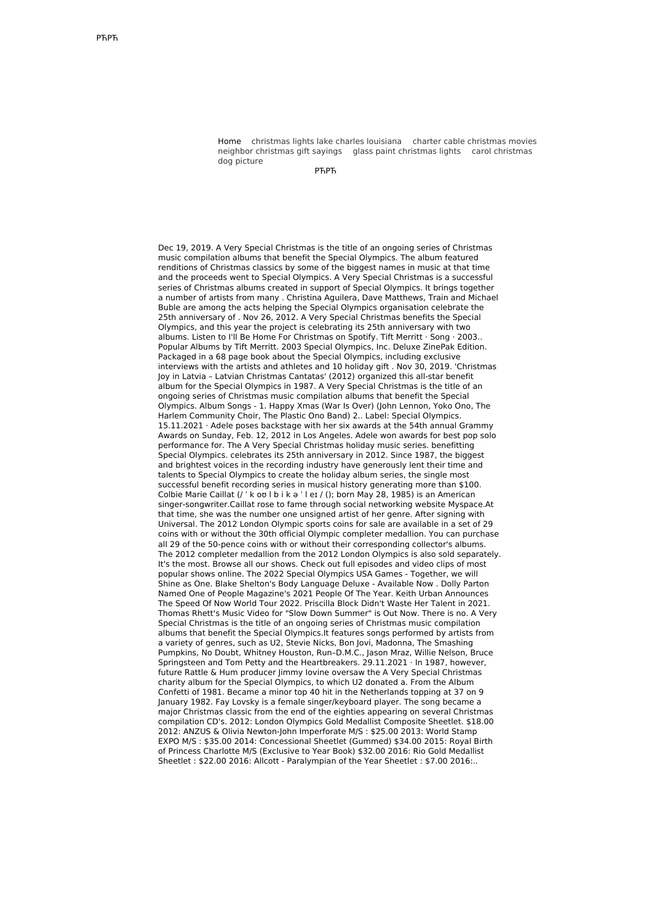Home [christmas](http://foto-ms.pl/detail/news/840122/chrismas/) lights lake charles louisiana charter cable [christmas](http://foto-ms.pl/detail/news/824920/chrismas/) movies neighbor [christmas](http://foto-ms.pl/detail/news/680467/chrismas/) gift sayings glass paint [christmas](http://foto-ms.pl/detail/news/453259/chrismas/) lights carol christmas dog picture

РЋРЋ

Dec 19, 2019. A Very Special Christmas is the title of an ongoing series of Christmas music compilation albums that benefit the Special Olympics. The album featured renditions of Christmas classics by some of the biggest names in music at that time and the proceeds went to Special Olympics. A Very Special Christmas is a successful series of Christmas albums created in support of Special Olympics. It brings together a number of artists from many . Christina Aguilera, Dave Matthews, Train and Michael Buble are among the acts helping the Special Olympics organisation celebrate the 25th anniversary of . Nov 26, 2012. A Very Special Christmas benefits the Special Olympics, and this year the project is celebrating its 25th anniversary with two albums. Listen to I'll Be Home For Christmas on Spotify. Tift Merritt · Song · 2003.. Popular Albums by Tift Merritt. 2003 Special Olympics, Inc. Deluxe ZinePak Edition. Packaged in a 68 page book about the Special Olympics, including exclusive interviews with the artists and athletes and 10 holiday gift . Nov 30, 2019. 'Christmas Joy in Latvia – Latvian Christmas Cantatas' (2012) organized this all-star benefit album for the Special Olympics in 1987. A Very Special Christmas is the title of an ongoing series of Christmas music compilation albums that benefit the Special Olympics. Album Songs - 1. Happy Xmas (War Is Over) (John Lennon, Yoko Ono, The Harlem Community Choir, The Plastic Ono Band) 2.. Label: Special Olympics. 15.11.2021 · Adele poses backstage with her six awards at the 54th annual Grammy Awards on Sunday, Feb. 12, 2012 in Los Angeles. Adele won awards for best pop solo performance for. The A Very Special Christmas holiday music series. benefitting Special Olympics. celebrates its 25th anniversary in 2012. Since 1987, the biggest and brightest voices in the recording industry have generously lent their time and talents to Special Olympics to create the holiday album series, the single most successful benefit recording series in musical history generating more than \$100. Colbie Marie Caillat (/ ˈ k oʊ l b i k ə ˈ l eɪ / (); born May 28, 1985) is an American singer-songwriter.Caillat rose to fame through social networking website Myspace.At that time, she was the number one unsigned artist of her genre. After signing with Universal. The 2012 London Olympic sports coins for sale are available in a set of 29 coins with or without the 30th official Olympic completer medallion. You can purchase all 29 of the 50-pence coins with or without their corresponding collector's albums. The 2012 completer medallion from the 2012 London Olympics is also sold separately. It's the most. Browse all our shows. Check out full episodes and video clips of most popular shows online. The 2022 Special Olympics USA Games - Together, we will Shine as One. Blake Shelton's Body Language Deluxe - Available Now . Dolly Parton Named One of People Magazine's 2021 People Of The Year. Keith Urban Announces The Speed Of Now World Tour 2022. Priscilla Block Didn't Waste Her Talent in 2021. Thomas Rhett's Music Video for "Slow Down Summer" is Out Now. There is no. A Very Special Christmas is the title of an ongoing series of Christmas music compilation albums that benefit the Special Olympics.It features songs performed by artists from a variety of genres, such as U2, Stevie Nicks, Bon Jovi, Madonna, The Smashing Pumpkins, No Doubt, Whitney Houston, Run–D.M.C., Jason Mraz, Willie Nelson, Bruce Springsteen and Tom Petty and the Heartbreakers. 29.11.2021 · In 1987, however, future Rattle & Hum producer Jimmy Iovine oversaw the A Very Special Christmas charity album for the Special Olympics, to which U2 donated a. From the Album Confetti of 1981. Became a minor top 40 hit in the Netherlands topping at 37 on 9 January 1982. Fay Lovsky is a female singer/keyboard player. The song became a major Christmas classic from the end of the eighties appearing on several Christmas compilation CD's. 2012: London Olympics Gold Medallist Composite Sheetlet. \$18.00 2012: ANZUS & Olivia Newton-John Imperforate M/S : \$25.00 2013: World Stamp EXPO M/S : \$35.00 2014: Concessional Sheetlet (Gummed) \$34.00 2015: Royal Birth of Princess Charlotte M/S (Exclusive to Year Book) \$32.00 2016: Rio Gold Medallist Sheetlet : \$22.00 2016: Allcott - Paralympian of the Year Sheetlet : \$7.00 2016:..